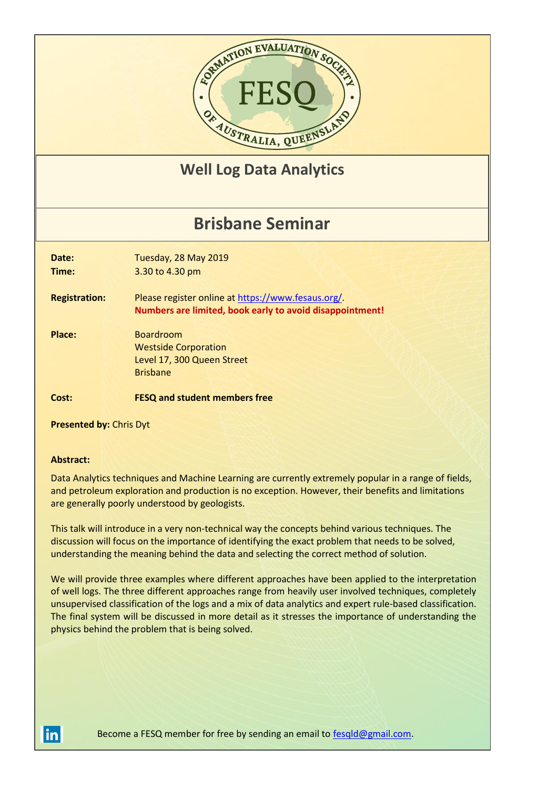

## **Well Log Data Analytics**

# **Brisbane Seminar**

**Date:** Tuesday, 28 May 2019

**Time:** 3.30 to 4.30 pm

**Registration:** Please register online a[t https://www.fesaus.org/.](https://www.fesaus.org/) **Numbers are limited, book early to avoid disappointment!**

**Place:** Boardroom Westside Corporation Level 17, 300 Queen Street Brisbane

### **Cost: FESQ and student members free**

**Presented by:** Chris Dyt

#### **Abstract:**

Data Analytics techniques and Machine Learning are currently extremely popular in a range of fields, and petroleum exploration and production is no exception. However, their benefits and limitations are generally poorly understood by geologists.

This talk will introduce in a very non-technical way the concepts behind various techniques. The discussion will focus on the importance of identifying the exact problem that needs to be solved, understanding the meaning behind the data and selecting the correct method of solution.

We will provide three examples where different approaches have been applied to the interpretation of well logs. The three different approaches range from heavily user involved techniques, completely unsupervised classification of the logs and a mix of data analytics and expert rule-based classification. The final system will be discussed in more detail as it stresses the importance of understanding the physics behind the problem that is being solved.

Become a FESQ member for free by sending an email to [fesqld@gmail.com.](mailto:fesqld@gmail.com)